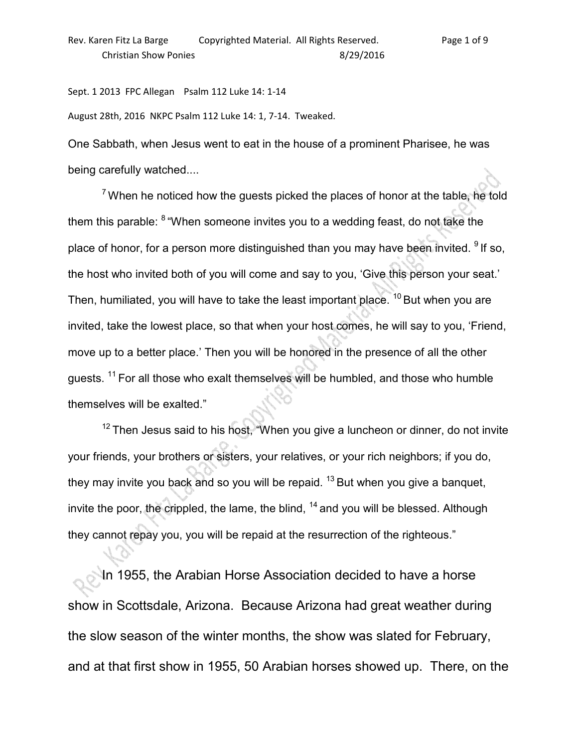Sept. 1 2013 FPC Allegan Psalm 112 Luke 14: 1-14

August 28th, 2016 NKPC Psalm 112 Luke 14: 1, 7-14. Tweaked.

One Sabbath, when Jesus went to eat in the house of a prominent Pharisee, he was being carefully watched....

 $7$  When he noticed how the guests picked the places of honor at the table, he told them this parable: <sup>8</sup>"When someone invites you to a wedding feast, do not take the place of honor, for a person more distinguished than you may have been invited.  $91f$  so, the host who invited both of you will come and say to you, 'Give this person your seat.' Then, humiliated, you will have to take the least important place.  $10$  But when you are invited, take the lowest place, so that when your host comes, he will say to you, 'Friend, move up to a better place.' Then you will be honored in the presence of all the other guests. <sup>11</sup> For all those who exalt themselves will be humbled, and those who humble themselves will be exalted."

 $12$  Then Jesus said to his host, "When you give a luncheon or dinner, do not invite your friends, your brothers or sisters, your relatives, or your rich neighbors; if you do, they may invite you back and so you will be repaid.  $13$  But when you give a banquet, invite the poor, the crippled, the lame, the blind,  $14$  and you will be blessed. Although they cannot repay you, you will be repaid at the resurrection of the righteous."

In 1955, the Arabian Horse Association decided to have a horse show in Scottsdale, Arizona. Because Arizona had great weather during the slow season of the winter months, the show was slated for February, and at that first show in 1955, 50 Arabian horses showed up. There, on the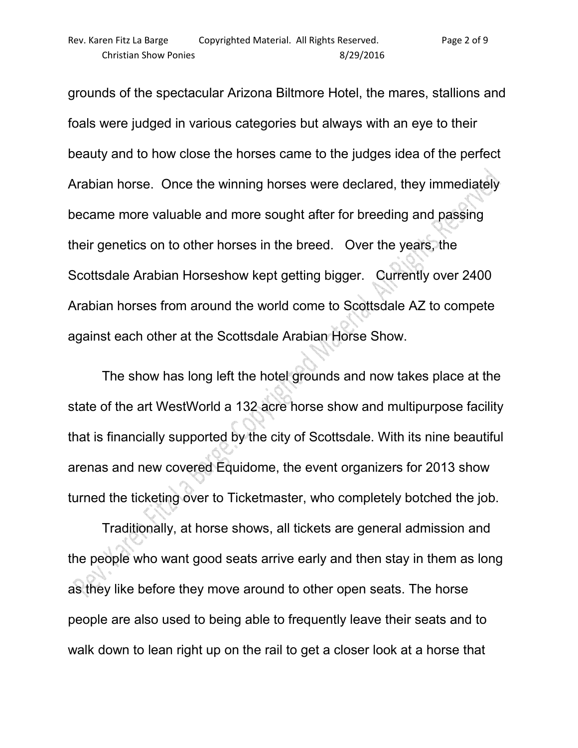grounds of the spectacular Arizona Biltmore Hotel, the mares, stallions and foals were judged in various categories but always with an eye to their beauty and to how close the horses came to the judges idea of the perfect Arabian horse. Once the winning horses were declared, they immediately became more valuable and more sought after for breeding and passing their genetics on to other horses in the breed. Over the years, the Scottsdale Arabian Horseshow kept getting bigger. Currently over 2400 Arabian horses from around the world come to Scottsdale AZ to compete

against each other at the Scottsdale Arabian Horse Show.

 The show has long left the hotel grounds and now takes place at the state of the art WestWorld a 132 acre horse show and multipurpose facility that is financially supported by the city of Scottsdale. With its nine beautiful arenas and new covered Equidome, the event organizers for 2013 show turned the ticketing over to Ticketmaster, who completely botched the job.

 Traditionally, at horse shows, all tickets are general admission and the people who want good seats arrive early and then stay in them as long as they like before they move around to other open seats. The horse people are also used to being able to frequently leave their seats and to walk down to lean right up on the rail to get a closer look at a horse that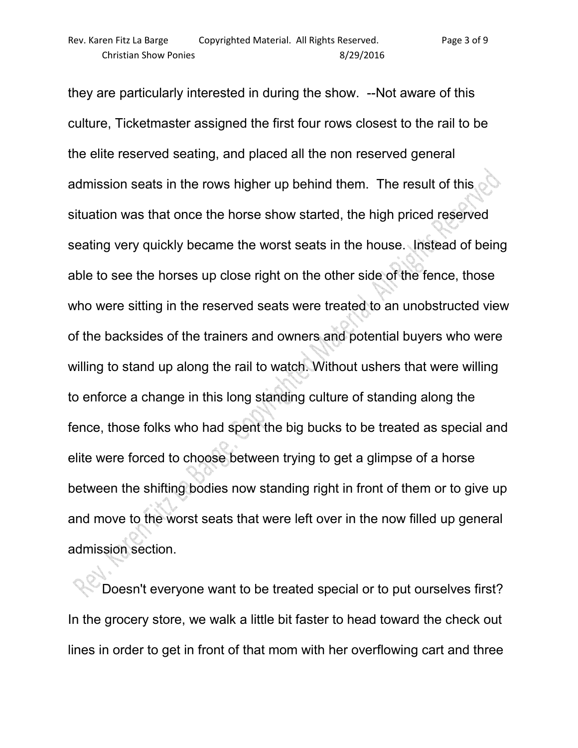they are particularly interested in during the show. --Not aware of this culture, Ticketmaster assigned the first four rows closest to the rail to be the elite reserved seating, and placed all the non reserved general admission seats in the rows higher up behind them. The result of this situation was that once the horse show started, the high priced reserved seating very quickly became the worst seats in the house. Instead of being able to see the horses up close right on the other side of the fence, those who were sitting in the reserved seats were treated to an unobstructed view of the backsides of the trainers and owners and potential buyers who were willing to stand up along the rail to watch. Without ushers that were willing to enforce a change in this long standing culture of standing along the fence, those folks who had spent the big bucks to be treated as special and elite were forced to choose between trying to get a glimpse of a horse between the shifting bodies now standing right in front of them or to give up and move to the worst seats that were left over in the now filled up general admission section.

 Doesn't everyone want to be treated special or to put ourselves first? In the grocery store, we walk a little bit faster to head toward the check out lines in order to get in front of that mom with her overflowing cart and three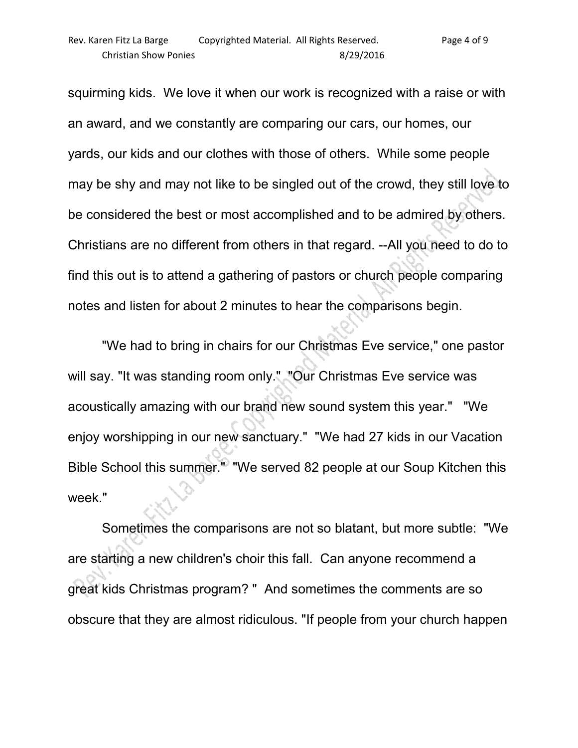squirming kids. We love it when our work is recognized with a raise or with an award, and we constantly are comparing our cars, our homes, our yards, our kids and our clothes with those of others. While some people may be shy and may not like to be singled out of the crowd, they still love to be considered the best or most accomplished and to be admired by others. Christians are no different from others in that regard. --All you need to do to find this out is to attend a gathering of pastors or church people comparing notes and listen for about 2 minutes to hear the comparisons begin.

 "We had to bring in chairs for our Christmas Eve service," one pastor will say. "It was standing room only." "Our Christmas Eve service was acoustically amazing with our brand new sound system this year." "We enjoy worshipping in our new sanctuary." "We had 27 kids in our Vacation Bible School this summer." "We served 82 people at our Soup Kitchen this week."

 Sometimes the comparisons are not so blatant, but more subtle: "We are starting a new children's choir this fall. Can anyone recommend a great kids Christmas program? " And sometimes the comments are so obscure that they are almost ridiculous. "If people from your church happen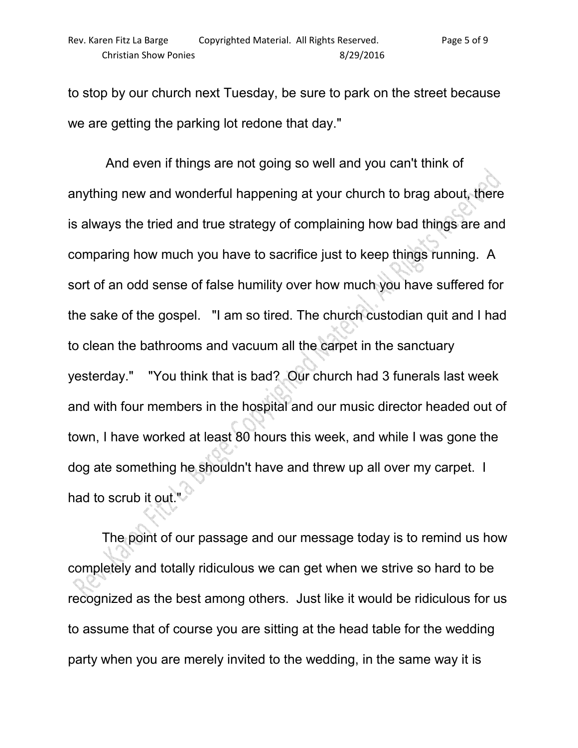to stop by our church next Tuesday, be sure to park on the street because we are getting the parking lot redone that day."

 And even if things are not going so well and you can't think of anything new and wonderful happening at your church to brag about, there is always the tried and true strategy of complaining how bad things are and comparing how much you have to sacrifice just to keep things running. A sort of an odd sense of false humility over how much you have suffered for the sake of the gospel. "I am so tired. The church custodian quit and I had to clean the bathrooms and vacuum all the carpet in the sanctuary yesterday." "You think that is bad? Our church had 3 funerals last week and with four members in the hospital and our music director headed out of town, I have worked at least 80 hours this week, and while I was gone the dog ate something he shouldn't have and threw up all over my carpet. I had to scrub it out."

 The point of our passage and our message today is to remind us how completely and totally ridiculous we can get when we strive so hard to be recognized as the best among others. Just like it would be ridiculous for us to assume that of course you are sitting at the head table for the wedding party when you are merely invited to the wedding, in the same way it is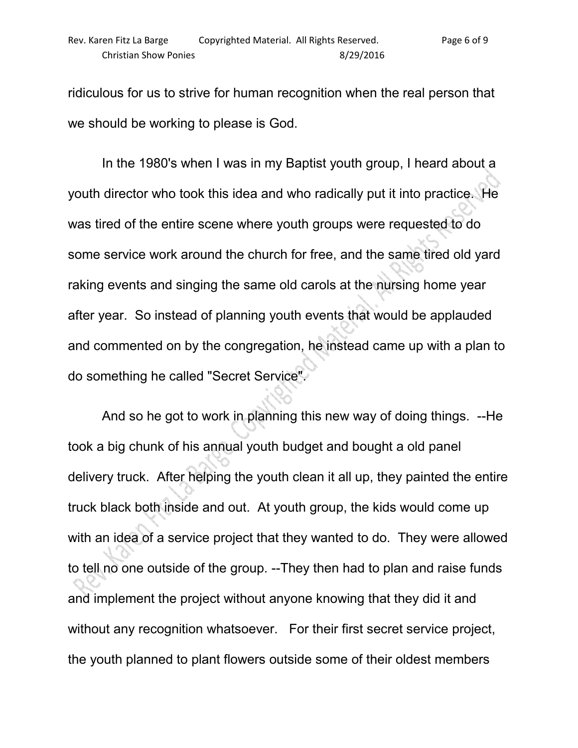ridiculous for us to strive for human recognition when the real person that we should be working to please is God.

 In the 1980's when I was in my Baptist youth group, I heard about a youth director who took this idea and who radically put it into practice. He was tired of the entire scene where youth groups were requested to do some service work around the church for free, and the same tired old yard raking events and singing the same old carols at the nursing home year after year. So instead of planning youth events that would be applauded and commented on by the congregation, he instead came up with a plan to do something he called "Secret Service".

 And so he got to work in planning this new way of doing things. --He took a big chunk of his annual youth budget and bought a old panel delivery truck. After helping the youth clean it all up, they painted the entire truck black both inside and out. At youth group, the kids would come up with an idea of a service project that they wanted to do. They were allowed to tell no one outside of the group. --They then had to plan and raise funds and implement the project without anyone knowing that they did it and without any recognition whatsoever. For their first secret service project, the youth planned to plant flowers outside some of their oldest members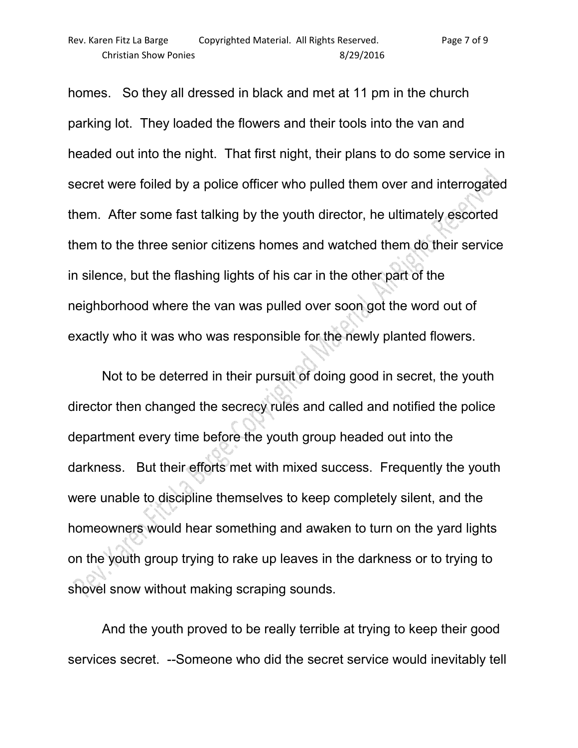homes. So they all dressed in black and met at 11 pm in the church parking lot. They loaded the flowers and their tools into the van and headed out into the night. That first night, their plans to do some service in secret were foiled by a police officer who pulled them over and interrogated them. After some fast talking by the youth director, he ultimately escorted them to the three senior citizens homes and watched them do their service in silence, but the flashing lights of his car in the other part of the neighborhood where the van was pulled over soon got the word out of exactly who it was who was responsible for the newly planted flowers.

 Not to be deterred in their pursuit of doing good in secret, the youth director then changed the secrecy rules and called and notified the police department every time before the youth group headed out into the darkness. But their efforts met with mixed success. Frequently the youth were unable to discipline themselves to keep completely silent, and the homeowners would hear something and awaken to turn on the yard lights on the youth group trying to rake up leaves in the darkness or to trying to shovel snow without making scraping sounds.

 And the youth proved to be really terrible at trying to keep their good services secret. --Someone who did the secret service would inevitably tell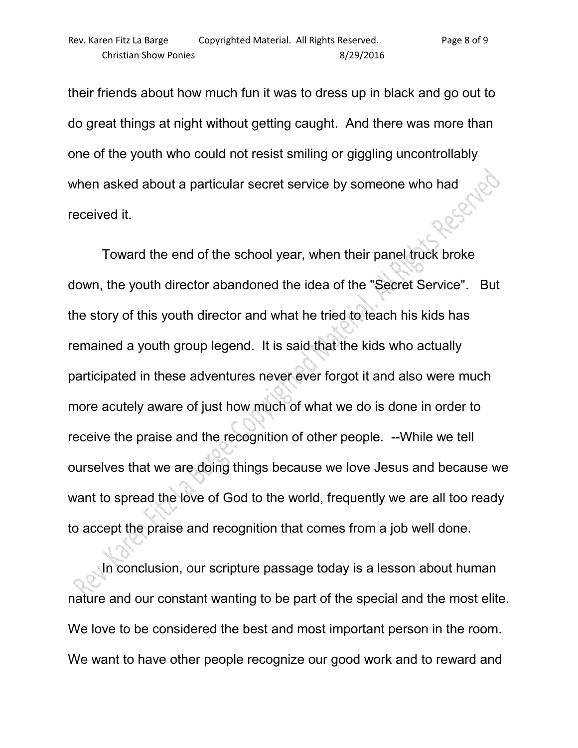their friends about how much fun it was to dress up in black and go out to do great things at night without getting caught. And there was more than one of the youth who could not resist smiling or giggling uncontrollably when asked about a particular secret service by someone who had received it.

 Toward the end of the school year, when their panel truck broke down, the youth director abandoned the idea of the "Secret Service". But the story of this youth director and what he tried to teach his kids has remained a youth group legend. It is said that the kids who actually participated in these adventures never ever forgot it and also were much more acutely aware of just how much of what we do is done in order to receive the praise and the recognition of other people. --While we tell ourselves that we are doing things because we love Jesus and because we want to spread the love of God to the world, frequently we are all too ready to accept the praise and recognition that comes from a job well done.

 In conclusion, our scripture passage today is a lesson about human nature and our constant wanting to be part of the special and the most elite. We love to be considered the best and most important person in the room. We want to have other people recognize our good work and to reward and